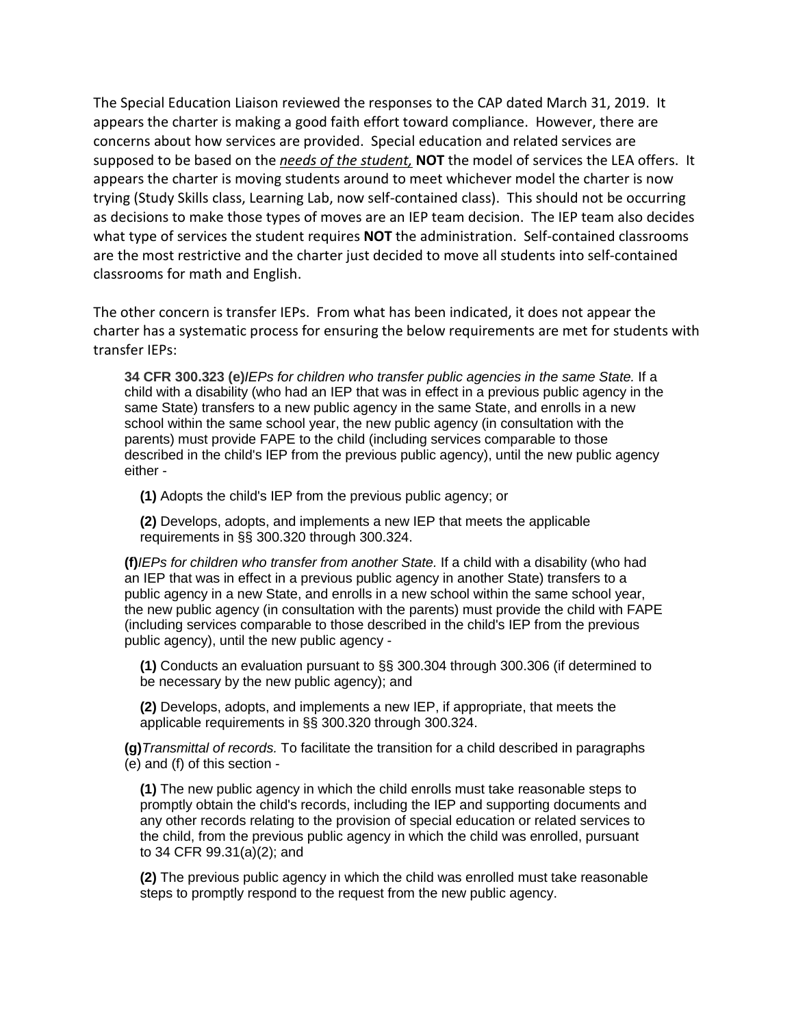The Special Education Liaison reviewed the responses to the CAP dated March 31, 2019. It appears the charter is making a good faith effort toward compliance. However, there are concerns about how services are provided. Special education and related services are supposed to be based on the *needs of the student,* **NOT** the model of services the LEA offers. It appears the charter is moving students around to meet whichever model the charter is now trying (Study Skills class, Learning Lab, now self-contained class). This should not be occurring as decisions to make those types of moves are an IEP team decision. The IEP team also decides what type of services the student requires **NOT** the administration. Self-contained classrooms are the most restrictive and the charter just decided to move all students into self-contained classrooms for math and English.

The other concern is transfer IEPs. From what has been indicated, it does not appear the charter has a systematic process for ensuring the below requirements are met for students with transfer IEPs:

**34 CFR 300.323 (e)***IEPs for children who transfer public agencies in the same State.* If a child with a disability (who had an IEP that was in effect in a previous public agency in the same State) transfers to a new public agency in the same State, and enrolls in a new school within the same school year, the new public agency (in consultation with the parents) must provide FAPE to the child (including services comparable to those described in the child's IEP from the previous public agency), until the new public agency either -

**(1)** Adopts the child's IEP from the previous public agency; or

**(2)** Develops, adopts, and implements a new IEP that meets the applicable requirements in [§§ 300.320](https://www.law.cornell.edu/cfr/text/34/300.320) through 300.324.

**(f)***IEPs for children who transfer from another State.* If a child with a disability (who had an IEP that was in effect in a previous public agency in another State) transfers to a public agency in a new State, and enrolls in a new school within the same school year, the new public agency (in consultation with the parents) must provide the child with FAPE (including services comparable to those described in the child's IEP from the previous public agency), until the new public agency -

**(1)** Conducts an evaluation pursuant to [§§ 300.304](https://www.law.cornell.edu/cfr/text/34/300.304) through 300.306 (if determined to be necessary by the new public agency); and

**(2)** Develops, adopts, and implements a new IEP, if appropriate, that meets the applicable requirements in [§§ 300.320](https://www.law.cornell.edu/cfr/text/34/300.320) through 300.324.

**(g)***Transmittal of records.* To facilitate the transition for a child described in paragraphs (e) and (f) of this section -

**(1)** The new public agency in which the child enrolls must take reasonable steps to promptly obtain the child's records, including the IEP and supporting documents and any other records relating to the provision of special education or related services to the child, from the previous public agency in which the child was enrolled, pursuant to [34 CFR 99.31\(a\)\(2\);](https://www.law.cornell.edu/cfr/text/34/99.31) and

**(2)** The previous public agency in which the child was enrolled must take reasonable steps to promptly respond to the request from the new public agency.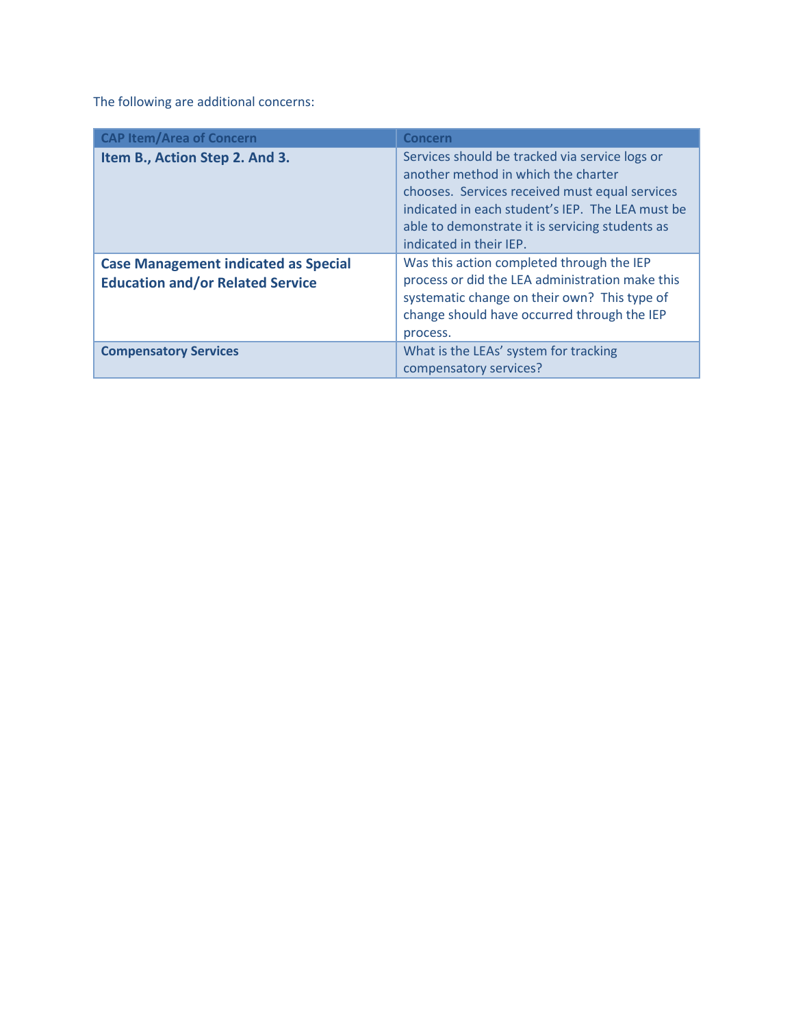The following are additional concerns:

| <b>CAP Item/Area of Concern</b>                                                        | <b>Concern</b>                                                                                                                                                                                                                                                            |
|----------------------------------------------------------------------------------------|---------------------------------------------------------------------------------------------------------------------------------------------------------------------------------------------------------------------------------------------------------------------------|
| Item B., Action Step 2. And 3.                                                         | Services should be tracked via service logs or<br>another method in which the charter<br>chooses. Services received must equal services<br>indicated in each student's IEP. The LEA must be<br>able to demonstrate it is servicing students as<br>indicated in their IEP. |
| <b>Case Management indicated as Special</b><br><b>Education and/or Related Service</b> | Was this action completed through the IEP<br>process or did the LEA administration make this<br>systematic change on their own? This type of<br>change should have occurred through the IEP<br>process.                                                                   |
| <b>Compensatory Services</b>                                                           | What is the LEAs' system for tracking<br>compensatory services?                                                                                                                                                                                                           |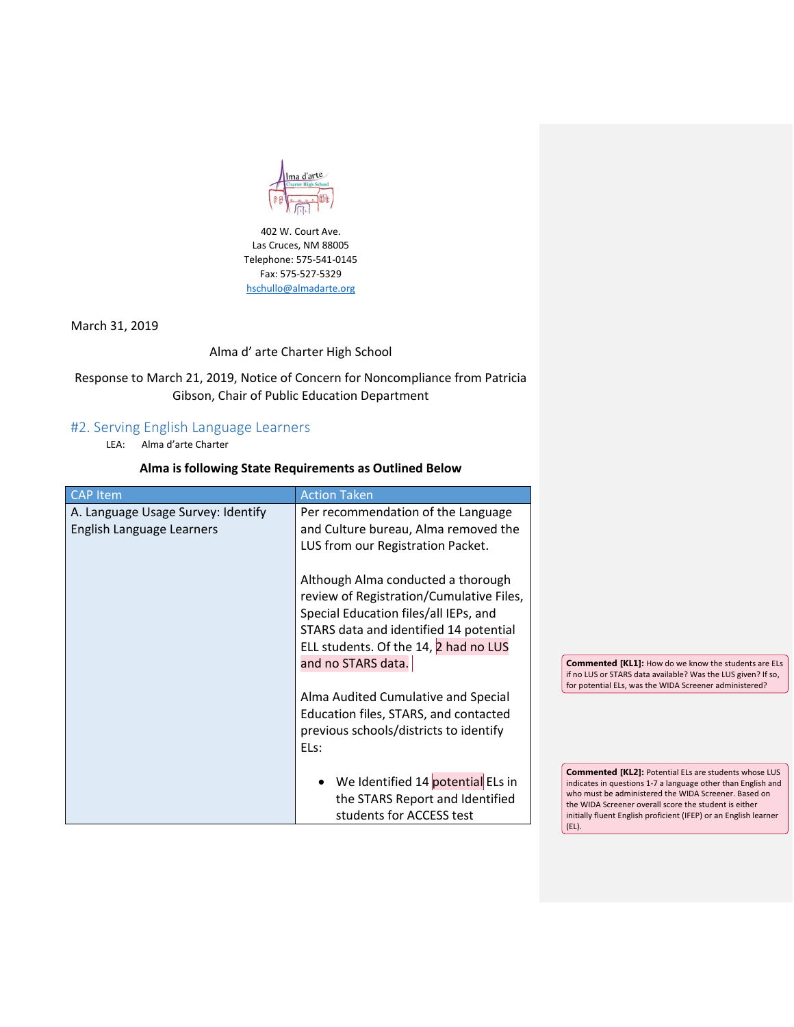

402 W. Court Ave. Las Cruces, NM 88005 Telephone: 575-541-0145 Fax: 575-527-5329 [hschullo@almadarte.org](mailto:hschullo@almadarte.org)

March 31, 2019

Alma d' arte Charter High School

Response to March 21, 2019, Notice of Concern for Noncompliance from Patricia Gibson, Chair of Public Education Department

## #2. Serving English Language Learners

LEA: Alma d'arte Charter

## **Alma is following State Requirements as Outlined Below**

| <b>CAP</b> Item                                                 | <b>Action Taken</b>                                                                                                                                                                               |                                                                                                                                                                                                                                                                                                                            |
|-----------------------------------------------------------------|---------------------------------------------------------------------------------------------------------------------------------------------------------------------------------------------------|----------------------------------------------------------------------------------------------------------------------------------------------------------------------------------------------------------------------------------------------------------------------------------------------------------------------------|
| A. Language Usage Survey: Identify<br>English Language Learners | Per recommendation of the Language<br>and Culture bureau, Alma removed the<br>LUS from our Registration Packet.<br>Although Alma conducted a thorough<br>review of Registration/Cumulative Files, |                                                                                                                                                                                                                                                                                                                            |
|                                                                 | Special Education files/all IEPs, and<br>STARS data and identified 14 potential<br>ELL students. Of the 14, 2 had no LUS<br>and no STARS data.                                                    | <b>Commented [KL1]: How do we know the students are ELs</b><br>if no LUS or STARS data available? Was the LUS given? If so,                                                                                                                                                                                                |
|                                                                 | Alma Audited Cumulative and Special<br>Education files, STARS, and contacted<br>previous schools/districts to identify<br>ELs:                                                                    | for potential ELs, was the WIDA Screener administered?                                                                                                                                                                                                                                                                     |
|                                                                 | We Identified 14 potential ELs in<br>the STARS Report and Identified<br>students for ACCESS test                                                                                                  | <b>Commented [KL2]: Potential ELs are students whose LUS</b><br>indicates in questions 1-7 a language other than English and<br>who must be administered the WIDA Screener. Based on<br>the WIDA Screener overall score the student is either<br>initially fluent English proficient (IFEP) or an English learner<br>(EL). |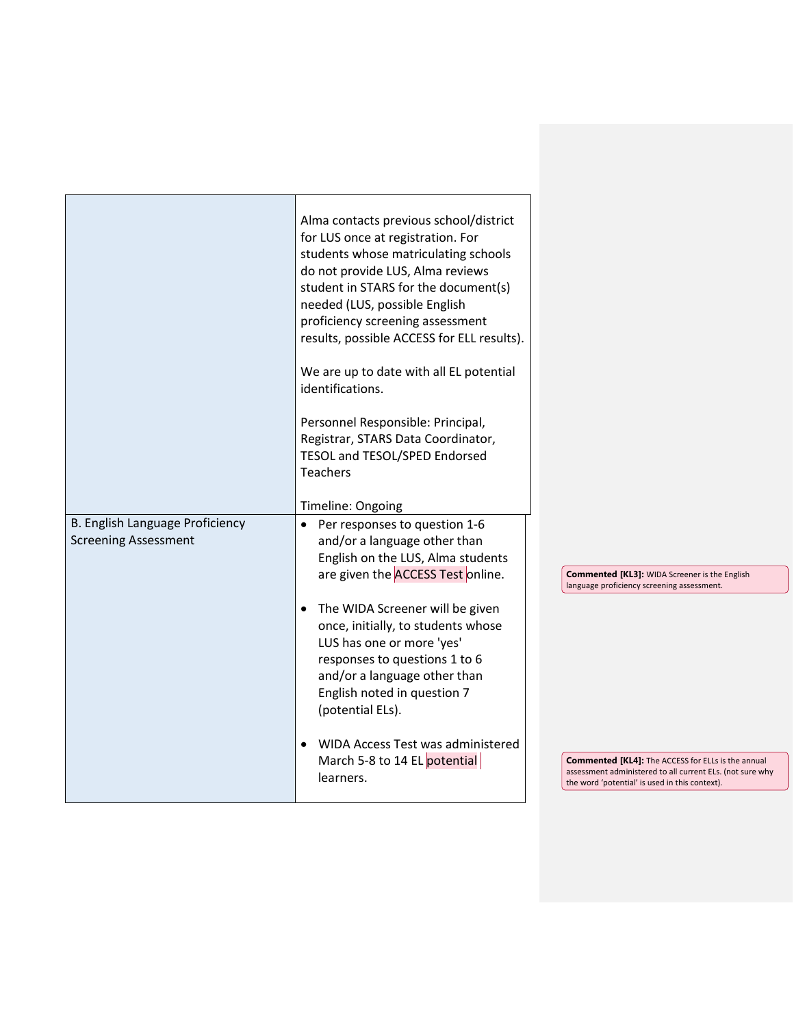|                                                                | Alma contacts previous school/district<br>for LUS once at registration. For<br>students whose matriculating schools<br>do not provide LUS, Alma reviews<br>student in STARS for the document(s)<br>needed (LUS, possible English<br>proficiency screening assessment<br>results, possible ACCESS for ELL results).<br>We are up to date with all EL potential<br>identifications.<br>Personnel Responsible: Principal,<br>Registrar, STARS Data Coordinator,<br>TESOL and TESOL/SPED Endorsed<br><b>Teachers</b> |                                                                                                                                                                          |
|----------------------------------------------------------------|------------------------------------------------------------------------------------------------------------------------------------------------------------------------------------------------------------------------------------------------------------------------------------------------------------------------------------------------------------------------------------------------------------------------------------------------------------------------------------------------------------------|--------------------------------------------------------------------------------------------------------------------------------------------------------------------------|
|                                                                | Timeline: Ongoing                                                                                                                                                                                                                                                                                                                                                                                                                                                                                                |                                                                                                                                                                          |
| B. English Language Proficiency<br><b>Screening Assessment</b> | Per responses to question 1-6<br>$\bullet$<br>and/or a language other than<br>English on the LUS, Alma students<br>are given the <b>ACCESS</b> Test online.<br>The WIDA Screener will be given<br>$\bullet$<br>once, initially, to students whose<br>LUS has one or more 'yes'<br>responses to questions 1 to 6<br>and/or a language other than<br>English noted in question 7<br>(potential ELs).<br>WIDA Access Test was administered<br>$\bullet$                                                             | <b>Commented [KL3]:</b> WIDA Screener is the English<br>language proficiency screening assessment.                                                                       |
|                                                                | March 5-8 to 14 EL potential<br>learners.                                                                                                                                                                                                                                                                                                                                                                                                                                                                        | <b>Commented [KL4]:</b> The ACCESS for ELLs is the annual<br>assessment administered to all current ELs. (not sure why<br>the word 'potential' is used in this context). |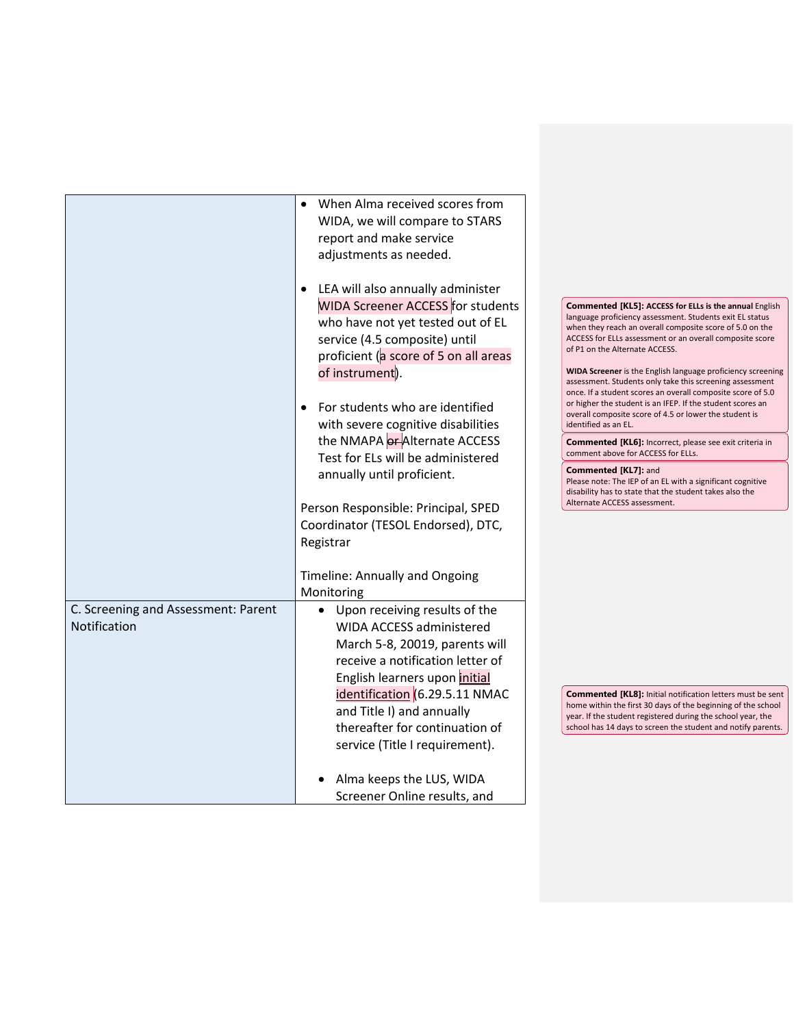|                                     | When Alma received scores from           |  |                                                                                                                             |
|-------------------------------------|------------------------------------------|--|-----------------------------------------------------------------------------------------------------------------------------|
|                                     | WIDA, we will compare to STARS           |  |                                                                                                                             |
|                                     | report and make service                  |  |                                                                                                                             |
|                                     | adjustments as needed.                   |  |                                                                                                                             |
|                                     |                                          |  |                                                                                                                             |
|                                     | • LEA will also annually administer      |  |                                                                                                                             |
|                                     | <b>WIDA Screener ACCESS</b> for students |  | <b>Commented [KL5]: ACCESS for ELLs is the annual English</b>                                                               |
|                                     | who have not yet tested out of EL        |  | language proficiency assessment. Students exit EL status<br>when they reach an overall composite score of 5.0 on the        |
|                                     | service (4.5 composite) until            |  | ACCESS for ELLs assessment or an overall composite score                                                                    |
|                                     | proficient (a score of 5 on all areas    |  | of P1 on the Alternate ACCESS.                                                                                              |
|                                     | of instrument).                          |  | WIDA Screener is the English language proficiency screening                                                                 |
|                                     |                                          |  | assessment. Students only take this screening assessment<br>once. If a student scores an overall composite score of 5.0     |
|                                     | For students who are identified          |  | or higher the student is an IFEP. If the student scores an                                                                  |
|                                     | with severe cognitive disabilities       |  | overall composite score of 4.5 or lower the student is<br>identified as an EL.                                              |
|                                     | the NMAPA or Alternate ACCESS            |  |                                                                                                                             |
|                                     | Test for ELs will be administered        |  | <b>Commented [KL6]:</b> Incorrect, please see exit criteria in<br>comment above for ACCESS for ELLs.                        |
|                                     | annually until proficient.               |  | <b>Commented [KL7]: and</b>                                                                                                 |
|                                     |                                          |  | Please note: The IEP of an EL with a significant cognitive                                                                  |
|                                     |                                          |  | disability has to state that the student takes also the<br>Alternate ACCESS assessment.                                     |
|                                     | Person Responsible: Principal, SPED      |  |                                                                                                                             |
|                                     | Coordinator (TESOL Endorsed), DTC,       |  |                                                                                                                             |
|                                     | Registrar                                |  |                                                                                                                             |
|                                     |                                          |  |                                                                                                                             |
|                                     | Timeline: Annually and Ongoing           |  |                                                                                                                             |
|                                     | Monitoring                               |  |                                                                                                                             |
| C. Screening and Assessment: Parent | Upon receiving results of the            |  |                                                                                                                             |
| Notification                        | WIDA ACCESS administered                 |  |                                                                                                                             |
|                                     | March 5-8, 20019, parents will           |  |                                                                                                                             |
|                                     | receive a notification letter of         |  |                                                                                                                             |
|                                     | English learners upon initial            |  |                                                                                                                             |
|                                     | identification (6.29.5.11 NMAC           |  | <b>Commented [KL8]:</b> Initial notification letters must be sent                                                           |
|                                     | and Title I) and annually                |  | home within the first 30 days of the beginning of the school<br>year. If the student registered during the school year, the |
|                                     | thereafter for continuation of           |  | school has 14 days to screen the student and notify parents.                                                                |
|                                     | service (Title I requirement).           |  |                                                                                                                             |
|                                     |                                          |  |                                                                                                                             |
|                                     | Alma keeps the LUS, WIDA                 |  |                                                                                                                             |
|                                     | Screener Online results, and             |  |                                                                                                                             |
|                                     |                                          |  |                                                                                                                             |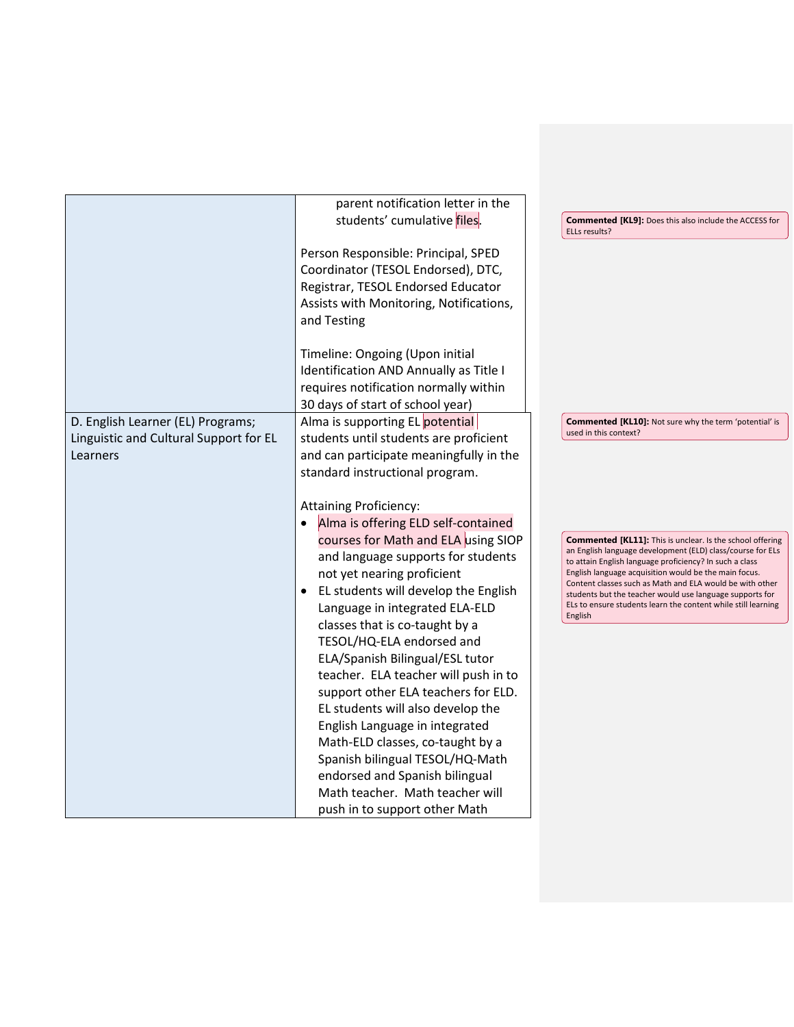|                                        | parent notification letter in the       |                                                                                                                       |
|----------------------------------------|-----------------------------------------|-----------------------------------------------------------------------------------------------------------------------|
|                                        | students' cumulative files.             | <b>Commented [KL9]:</b> Does this also include the ACCESS for<br>ELLs results?                                        |
|                                        | Person Responsible: Principal, SPED     |                                                                                                                       |
|                                        | Coordinator (TESOL Endorsed), DTC,      |                                                                                                                       |
|                                        | Registrar, TESOL Endorsed Educator      |                                                                                                                       |
|                                        | Assists with Monitoring, Notifications, |                                                                                                                       |
|                                        | and Testing                             |                                                                                                                       |
|                                        |                                         |                                                                                                                       |
|                                        | Timeline: Ongoing (Upon initial         |                                                                                                                       |
|                                        | Identification AND Annually as Title I  |                                                                                                                       |
|                                        | requires notification normally within   |                                                                                                                       |
|                                        | 30 days of start of school year)        |                                                                                                                       |
| D. English Learner (EL) Programs;      | Alma is supporting EL potential         | <b>Commented [KL10]:</b> Not sure why the term 'potential' is                                                         |
| Linguistic and Cultural Support for EL | students until students are proficient  | used in this context?                                                                                                 |
| Learners                               | and can participate meaningfully in the |                                                                                                                       |
|                                        | standard instructional program.         |                                                                                                                       |
|                                        |                                         |                                                                                                                       |
|                                        | <b>Attaining Proficiency:</b>           |                                                                                                                       |
|                                        | Alma is offering ELD self-contained     |                                                                                                                       |
|                                        | courses for Math and ELA using SIOP     | <b>Commented [KL11]:</b> This is unclear. Is the school offering                                                      |
|                                        | and language supports for students      | an English language development (ELD) class/course for ELs<br>to attain English language proficiency? In such a class |
|                                        | not yet nearing proficient              | English language acquisition would be the main focus.                                                                 |
|                                        | EL students will develop the English    | Content classes such as Math and ELA would be with other<br>students but the teacher would use language supports for  |
|                                        | Language in integrated ELA-ELD          | ELs to ensure students learn the content while still learning                                                         |
|                                        | classes that is co-taught by a          | English                                                                                                               |
|                                        | TESOL/HQ-ELA endorsed and               |                                                                                                                       |
|                                        | ELA/Spanish Bilingual/ESL tutor         |                                                                                                                       |
|                                        | teacher. ELA teacher will push in to    |                                                                                                                       |
|                                        | support other ELA teachers for ELD.     |                                                                                                                       |
|                                        | EL students will also develop the       |                                                                                                                       |
|                                        | English Language in integrated          |                                                                                                                       |
|                                        | Math-ELD classes, co-taught by a        |                                                                                                                       |
|                                        | Spanish bilingual TESOL/HQ-Math         |                                                                                                                       |
|                                        | endorsed and Spanish bilingual          |                                                                                                                       |
|                                        | Math teacher. Math teacher will         |                                                                                                                       |
|                                        | push in to support other Math           |                                                                                                                       |
|                                        |                                         |                                                                                                                       |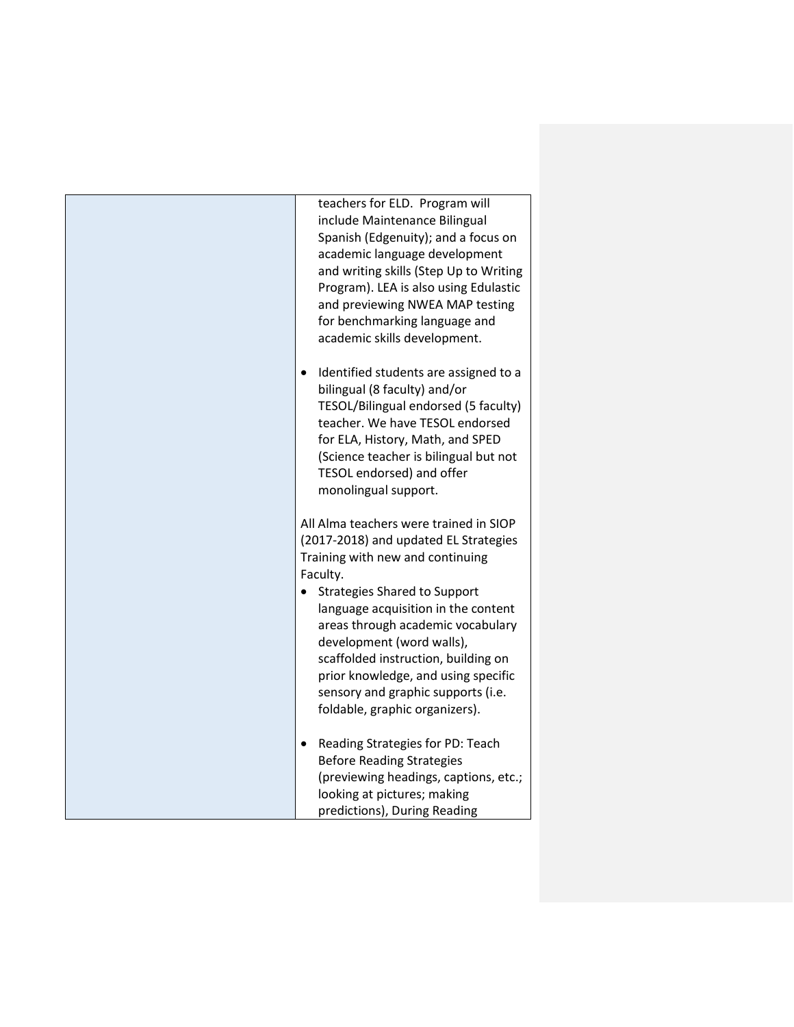| teachers for ELD. Program will<br>include Maintenance Bilingual<br>Spanish (Edgenuity); and a focus on<br>academic language development<br>and writing skills (Step Up to Writing<br>Program). LEA is also using Edulastic<br>and previewing NWEA MAP testing<br>for benchmarking language and<br>academic skills development.                                                                                                                     |
|----------------------------------------------------------------------------------------------------------------------------------------------------------------------------------------------------------------------------------------------------------------------------------------------------------------------------------------------------------------------------------------------------------------------------------------------------|
| Identified students are assigned to a<br>$\bullet$<br>bilingual (8 faculty) and/or<br>TESOL/Bilingual endorsed (5 faculty)<br>teacher. We have TESOL endorsed<br>for ELA, History, Math, and SPED<br>(Science teacher is bilingual but not<br>TESOL endorsed) and offer<br>monolingual support.                                                                                                                                                    |
| All Alma teachers were trained in SIOP<br>(2017-2018) and updated EL Strategies<br>Training with new and continuing<br>Faculty.<br><b>Strategies Shared to Support</b><br>$\bullet$<br>language acquisition in the content<br>areas through academic vocabulary<br>development (word walls),<br>scaffolded instruction, building on<br>prior knowledge, and using specific<br>sensory and graphic supports (i.e.<br>foldable, graphic organizers). |
| Reading Strategies for PD: Teach<br>$\bullet$<br><b>Before Reading Strategies</b><br>(previewing headings, captions, etc.;<br>looking at pictures; making<br>predictions), During Reading                                                                                                                                                                                                                                                          |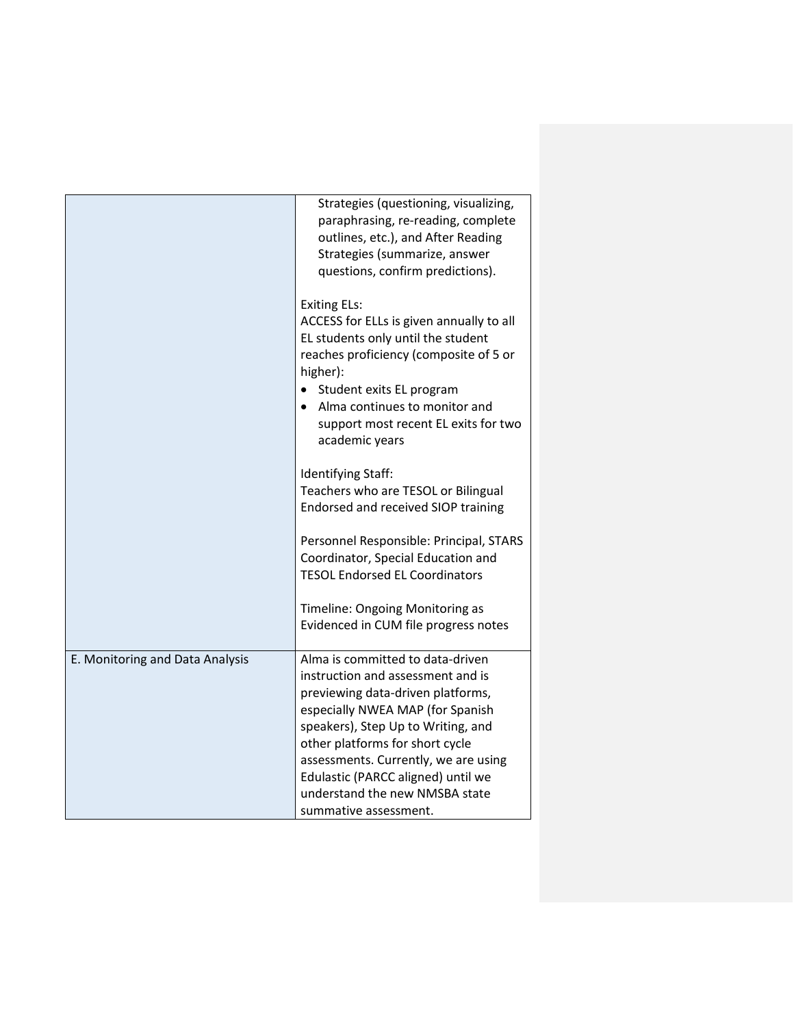|                                 | Strategies (questioning, visualizing,<br>paraphrasing, re-reading, complete<br>outlines, etc.), and After Reading<br>Strategies (summarize, answer<br>questions, confirm predictions).<br><b>Exiting ELs:</b>                                                                                                                           |
|---------------------------------|-----------------------------------------------------------------------------------------------------------------------------------------------------------------------------------------------------------------------------------------------------------------------------------------------------------------------------------------|
|                                 | ACCESS for ELLs is given annually to all<br>EL students only until the student<br>reaches proficiency (composite of 5 or<br>higher):                                                                                                                                                                                                    |
|                                 | Student exits EL program<br>Alma continues to monitor and<br>support most recent EL exits for two<br>academic years                                                                                                                                                                                                                     |
|                                 | Identifying Staff:<br>Teachers who are TESOL or Bilingual<br>Endorsed and received SIOP training                                                                                                                                                                                                                                        |
|                                 | Personnel Responsible: Principal, STARS<br>Coordinator, Special Education and<br><b>TESOL Endorsed EL Coordinators</b>                                                                                                                                                                                                                  |
|                                 | Timeline: Ongoing Monitoring as<br>Evidenced in CUM file progress notes                                                                                                                                                                                                                                                                 |
| E. Monitoring and Data Analysis | Alma is committed to data-driven<br>instruction and assessment and is<br>previewing data-driven platforms,<br>especially NWEA MAP (for Spanish<br>speakers), Step Up to Writing, and<br>other platforms for short cycle<br>assessments. Currently, we are using<br>Edulastic (PARCC aligned) until we<br>understand the new NMSBA state |
|                                 | summative assessment.                                                                                                                                                                                                                                                                                                                   |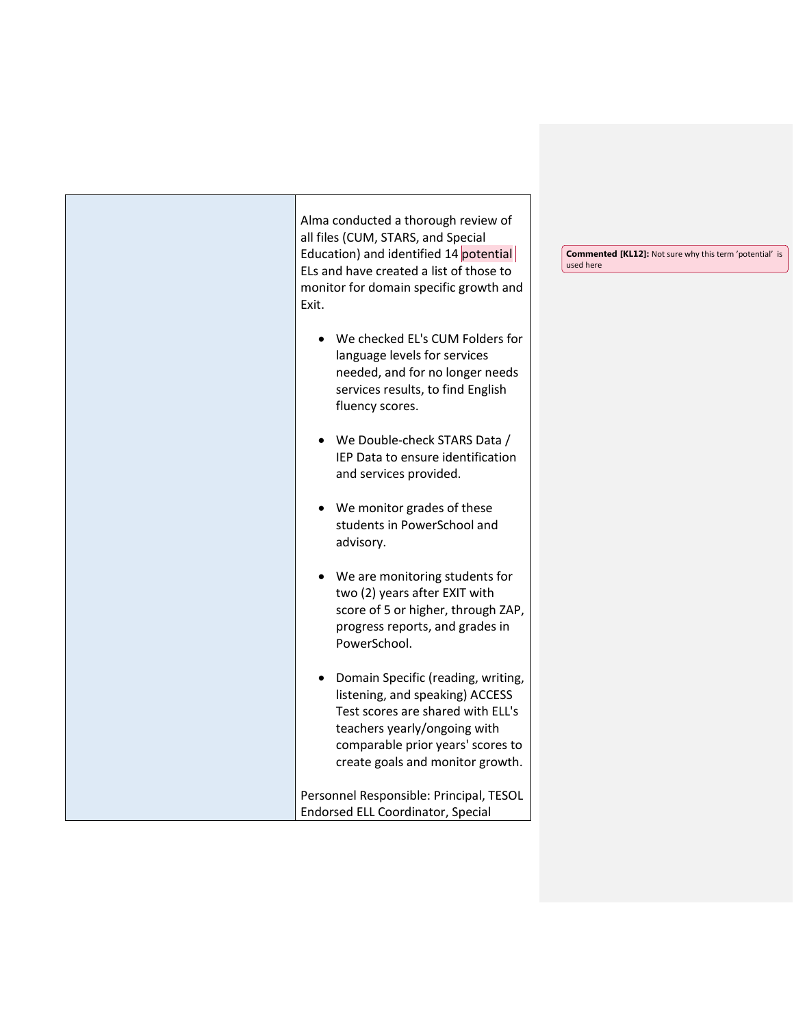|  | Alma conducted a thorough review of<br>all files (CUM, STARS, and Special<br>Education) and identified 14 potential<br>ELs and have created a list of those to<br>monitor for domain specific growth and<br>Exit.                | <b>Commented [KL12]:</b> Not sure why this term 'potential' is<br>used here |
|--|----------------------------------------------------------------------------------------------------------------------------------------------------------------------------------------------------------------------------------|-----------------------------------------------------------------------------|
|  | We checked EL's CUM Folders for<br>language levels for services<br>needed, and for no longer needs<br>services results, to find English<br>fluency scores.                                                                       |                                                                             |
|  | We Double-check STARS Data /<br>$\bullet$<br>IEP Data to ensure identification<br>and services provided.                                                                                                                         |                                                                             |
|  | We monitor grades of these<br>$\bullet$<br>students in PowerSchool and<br>advisory.                                                                                                                                              |                                                                             |
|  | We are monitoring students for<br>$\bullet$<br>two (2) years after EXIT with<br>score of 5 or higher, through ZAP,<br>progress reports, and grades in<br>PowerSchool.                                                            |                                                                             |
|  | Domain Specific (reading, writing,<br>$\bullet$<br>listening, and speaking) ACCESS<br>Test scores are shared with ELL's<br>teachers yearly/ongoing with<br>comparable prior years' scores to<br>create goals and monitor growth. |                                                                             |
|  | Personnel Responsible: Principal, TESOL<br><b>Endorsed ELL Coordinator, Special</b>                                                                                                                                              |                                                                             |